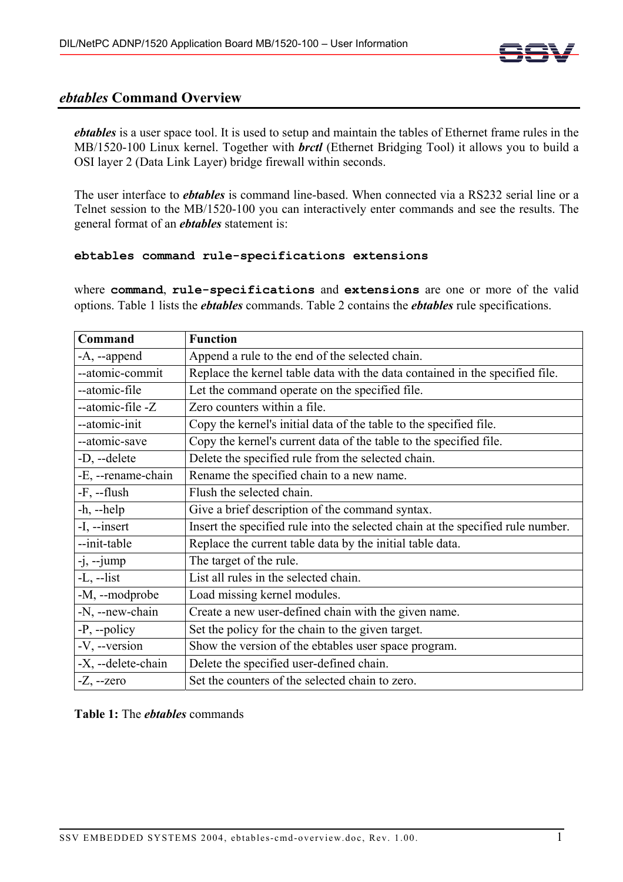

## *ebtables* **Command Overview**

*ebtables* is a user space tool. It is used to setup and maintain the tables of Ethernet frame rules in the MB/1520-100 Linux kernel. Together with *brctl* (Ethernet Bridging Tool) it allows you to build a OSI layer 2 (Data Link Layer) bridge firewall within seconds.

The user interface to *ebtables* is command line-based. When connected via a RS232 serial line or a Telnet session to the MB/1520-100 you can interactively enter commands and see the results. The general format of an *ebtables* statement is:

## **ebtables command rule-specifications extensions**

where **command**, **rule-specifications** and **extensions** are one or more of the valid options. Table 1 lists the *ebtables* commands. Table 2 contains the *ebtables* rule specifications.

| Command            | <b>Function</b>                                                                 |
|--------------------|---------------------------------------------------------------------------------|
| $-A$ , $-$ append  | Append a rule to the end of the selected chain.                                 |
| --atomic-commit    | Replace the kernel table data with the data contained in the specified file.    |
| --atomic-file      | Let the command operate on the specified file.                                  |
| --atomic-file -Z   | Zero counters within a file.                                                    |
| --atomic-init      | Copy the kernel's initial data of the table to the specified file.              |
| --atomic-save      | Copy the kernel's current data of the table to the specified file.              |
| -D, --delete       | Delete the specified rule from the selected chain.                              |
| -E, --rename-chain | Rename the specified chain to a new name.                                       |
| $-F$ , $-flush$    | Flush the selected chain.                                                       |
| $-h$ , $-help$     | Give a brief description of the command syntax.                                 |
| -I, --insert       | Insert the specified rule into the selected chain at the specified rule number. |
| --init-table       | Replace the current table data by the initial table data.                       |
| $-j, -jump$        | The target of the rule.                                                         |
| $-L$ , $-list$     | List all rules in the selected chain.                                           |
| -M, --modprobe     | Load missing kernel modules.                                                    |
| -N, --new-chain    | Create a new user-defined chain with the given name.                            |
| $-P$ , --policy    | Set the policy for the chain to the given target.                               |
| -V, --version      | Show the version of the ebtables user space program.                            |
| -X, --delete-chain | Delete the specified user-defined chain.                                        |
| $-Z$ , $-zero$     | Set the counters of the selected chain to zero.                                 |

**Table 1:** The *ebtables* commands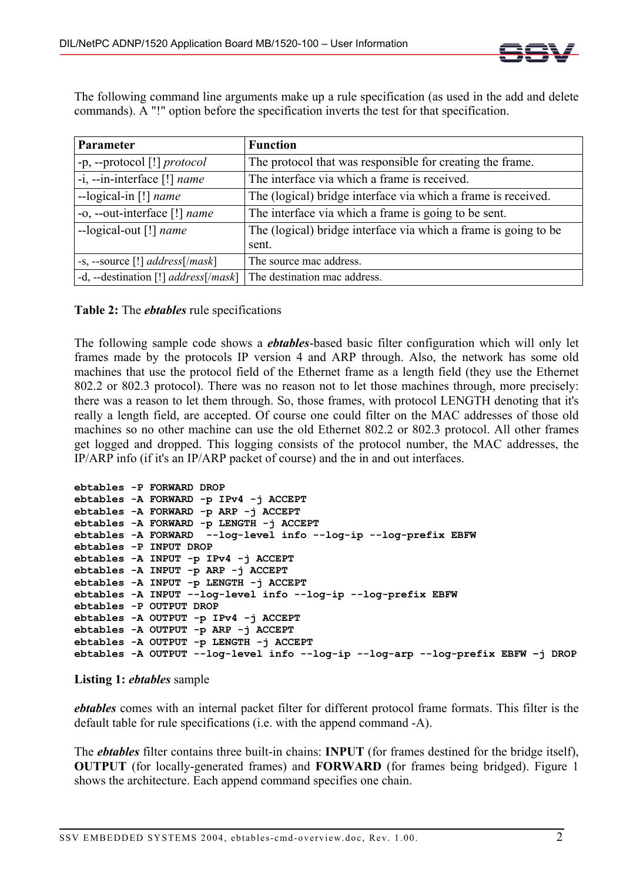

The following command line arguments make up a rule specification (as used in the add and delete commands). A "!" option before the specification inverts the test for that specification.

| Parameter                                           | <b>Function</b>                                                 |
|-----------------------------------------------------|-----------------------------------------------------------------|
| $-p$ , --protocol [!] <i>protocol</i>               | The protocol that was responsible for creating the frame.       |
| $-i$ , --in-interface [!] <i>name</i>               | The interface via which a frame is received.                    |
| --logical-in [!] <i>name</i>                        | The (logical) bridge interface via which a frame is received.   |
| -o, --out-interface [!] name                        | The interface via which a frame is going to be sent.            |
| --logical-out [!] name                              | The (logical) bridge interface via which a frame is going to be |
|                                                     | sent.                                                           |
| $-s$ , --source [!] <i>address</i> [/ <i>mask</i> ] | The source mac address.                                         |
| -d, --destination [!] $address[ / mask]$            | The destination mac address.                                    |

**Table 2:** The *ebtables* rule specifications

The following sample code shows a *ebtables*-based basic filter configuration which will only let frames made by the protocols IP version 4 and ARP through. Also, the network has some old machines that use the protocol field of the Ethernet frame as a length field (they use the Ethernet 802.2 or 802.3 protocol). There was no reason not to let those machines through, more precisely: there was a reason to let them through. So, those frames, with protocol LENGTH denoting that it's really a length field, are accepted. Of course one could filter on the MAC addresses of those old machines so no other machine can use the old Ethernet 802.2 or 802.3 protocol. All other frames get logged and dropped. This logging consists of the protocol number, the MAC addresses, the IP/ARP info (if it's an IP/ARP packet of course) and the in and out interfaces.

```
ebtables -P FORWARD DROP 
ebtables -A FORWARD -p IPv4 -j ACCEPT 
ebtables -A FORWARD -p ARP -j ACCEPT 
ebtables -A FORWARD -p LENGTH -j ACCEPT 
ebtables -A FORWARD --log-level info --log-ip --log-prefix EBFW 
ebtables -P INPUT DROP 
ebtables -A INPUT -p IPv4 -j ACCEPT 
ebtables -A INPUT -p ARP -j ACCEPT 
ebtables -A INPUT -p LENGTH -j ACCEPT 
ebtables -A INPUT --log-level info --log-ip --log-prefix EBFW 
ebtables -P OUTPUT DROP 
ebtables -A OUTPUT -p IPv4 -j ACCEPT 
ebtables -A OUTPUT -p ARP -j ACCEPT 
ebtables -A OUTPUT -p LENGTH -j ACCEPT 
ebtables -A OUTPUT --log-level info --log-ip --log-arp --log-prefix EBFW –j DROP
```
## **Listing 1:** *ebtables* sample

*ebtables* comes with an internal packet filter for different protocol frame formats. This filter is the default table for rule specifications (i.e. with the append command -A).

The *ebtables* filter contains three built-in chains: **INPUT** (for frames destined for the bridge itself), **OUTPUT** (for locally-generated frames) and **FORWARD** (for frames being bridged). Figure 1 shows the architecture. Each append command specifies one chain.